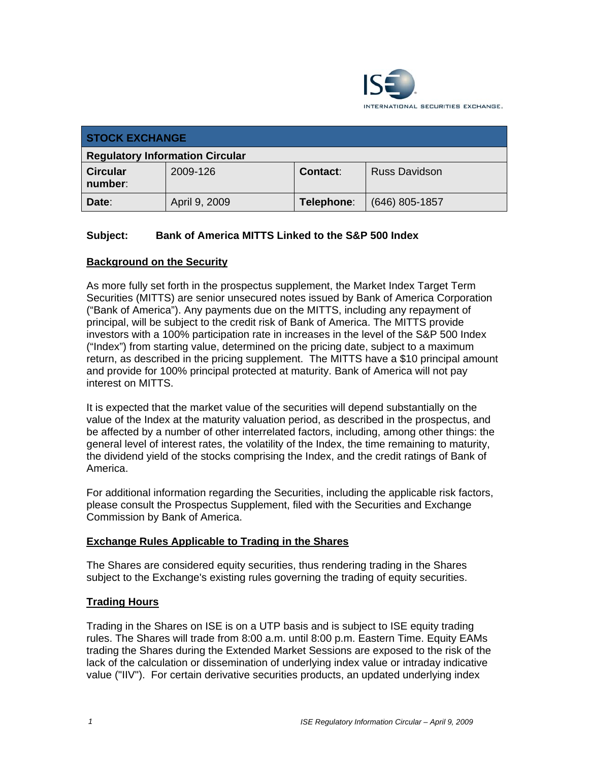

| <b>STOCK EXCHANGE</b>                  |               |            |                  |
|----------------------------------------|---------------|------------|------------------|
| <b>Regulatory Information Circular</b> |               |            |                  |
| <b>Circular</b><br>number:             | 2009-126      | Contact:   | Russ Davidson    |
| Date:                                  | April 9, 2009 | Telephone: | $(646)$ 805-1857 |

### **Subject: Bank of America MITTS Linked to the S&P 500 Index**

### **Background on the Security**

As more fully set forth in the prospectus supplement, the Market Index Target Term Securities (MITTS) are senior unsecured notes issued by Bank of America Corporation ("Bank of America"). Any payments due on the MITTS, including any repayment of principal, will be subject to the credit risk of Bank of America. The MITTS provide investors with a 100% participation rate in increases in the level of the S&P 500 Index ("Index") from starting value, determined on the pricing date, subject to a maximum return, as described in the pricing supplement. The MITTS have a \$10 principal amount and provide for 100% principal protected at maturity. Bank of America will not pay interest on MITTS.

It is expected that the market value of the securities will depend substantially on the value of the Index at the maturity valuation period, as described in the prospectus, and be affected by a number of other interrelated factors, including, among other things: the general level of interest rates, the volatility of the Index, the time remaining to maturity, the dividend yield of the stocks comprising the Index, and the credit ratings of Bank of America.

For additional information regarding the Securities, including the applicable risk factors, please consult the Prospectus Supplement, filed with the Securities and Exchange Commission by Bank of America.

#### **Exchange Rules Applicable to Trading in the Shares**

The Shares are considered equity securities, thus rendering trading in the Shares subject to the Exchange's existing rules governing the trading of equity securities.

#### **Trading Hours**

Trading in the Shares on ISE is on a UTP basis and is subject to ISE equity trading rules. The Shares will trade from 8:00 a.m. until 8:00 p.m. Eastern Time. Equity EAMs trading the Shares during the Extended Market Sessions are exposed to the risk of the lack of the calculation or dissemination of underlying index value or intraday indicative value ("IIV"). For certain derivative securities products, an updated underlying index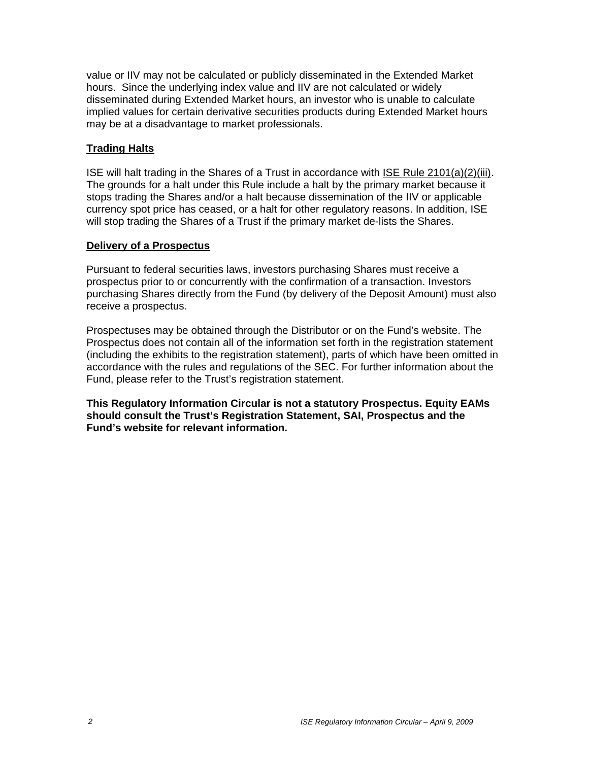value or IIV may not be calculated or publicly disseminated in the Extended Market hours. Since the underlying index value and IIV are not calculated or widely disseminated during Extended Market hours, an investor who is unable to calculate implied values for certain derivative securities products during Extended Market hours may be at a disadvantage to market professionals.

#### **Trading Halts**

ISE will halt trading in the Shares of a Trust in accordance with ISE Rule 2101(a)(2)(iii). The grounds for a halt under this Rule include a halt by the primary market because it stops trading the Shares and/or a halt because dissemination of the IIV or applicable currency spot price has ceased, or a halt for other regulatory reasons. In addition, ISE will stop trading the Shares of a Trust if the primary market de-lists the Shares.

#### **Delivery of a Prospectus**

Pursuant to federal securities laws, investors purchasing Shares must receive a prospectus prior to or concurrently with the confirmation of a transaction. Investors purchasing Shares directly from the Fund (by delivery of the Deposit Amount) must also receive a prospectus.

Prospectuses may be obtained through the Distributor or on the Fund's website. The Prospectus does not contain all of the information set forth in the registration statement (including the exhibits to the registration statement), parts of which have been omitted in accordance with the rules and regulations of the SEC. For further information about the Fund, please refer to the Trust's registration statement.

**This Regulatory Information Circular is not a statutory Prospectus. Equity EAMs should consult the Trust's Registration Statement, SAI, Prospectus and the Fund's website for relevant information.**